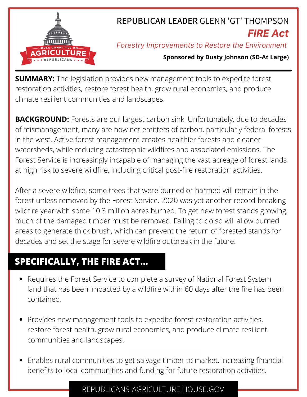

# **REPUBLICAN LEADER** GLENN 'GT' THOMPSON *FIRE Act*

## *Forestry Improvements to Restore the Environment*

### **Sponsored by Dusty Johnson (SD-At Large)**

**SUMMARY:** The legislation provides new management tools to expedite forest restoration activities, restore forest health, grow rural economies, and produce climate resilient communities and landscapes.

**BACKGROUND:** Forests are our largest carbon sink. Unfortunately, due to decades of mismanagement, many are now net emitters of carbon, particularly federal forests in the west. Active forest management creates healthier forests and cleaner watersheds, while reducing catastrophic wildfires and associated emissions. The Forest Service is increasingly incapable of managing the vast acreage of forest lands at high risk to severe wildfire, including critical post-fire restoration activities.

After a severe wildfire, some trees that were burned or harmed will remain in the forest unless removed by the Forest Service. 2020 was yet another record-breaking wildfire year with some 10.3 million acres burned. To get new forest stands growing, much of the damaged timber must be removed. Failing to do so will allow burned areas to generate thick brush, which can prevent the return of forested stands for decades and set the stage for severe wildfire outbreak in the future.

## **SPECIFICALLY, THE FIRE ACT...**

- Requires the Forest Service to complete a survey of National Forest System land that has been impacted by a wildfire within 60 days after the fire has been contained.
- Provides new management tools to expedite forest restoration activities, restore forest health, grow rural economies, and produce climate resilient communities and landscapes.
- Enables rural communities to get salvage timber to market, increasing financial benefits to local communities and funding for future restoration activities.

## REPUBLICANS-AGRICULTURE.HOUSE.GOV